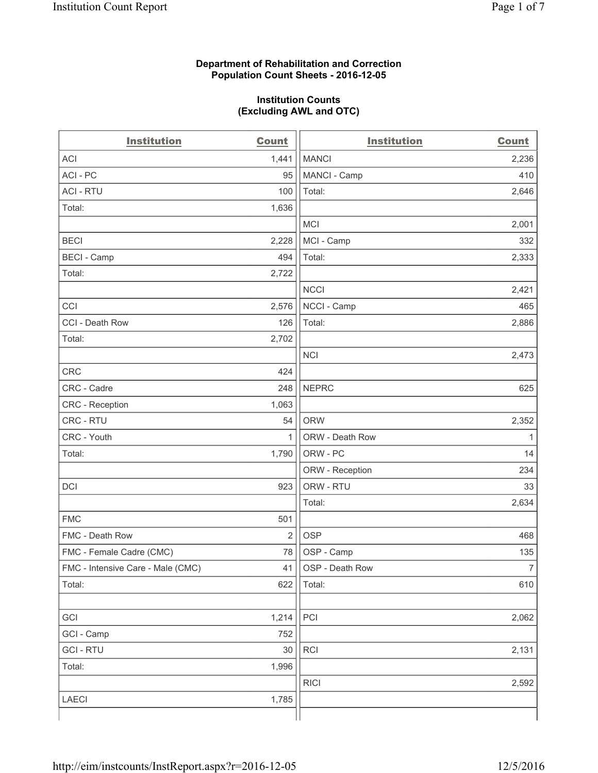#### **Department of Rehabilitation and Correction Population Count Sheets - 2016-12-05**

#### **Institution Counts (Excluding AWL and OTC)**

| <b>Institution</b>                | <b>Count</b>   | <b>Institution</b> | <b>Count</b>   |
|-----------------------------------|----------------|--------------------|----------------|
| <b>ACI</b>                        | 1,441          | <b>MANCI</b>       | 2,236          |
| ACI - PC                          | 95             | MANCI - Camp       | 410            |
| <b>ACI - RTU</b>                  | 100            | Total:             | 2,646          |
| Total:                            | 1,636          |                    |                |
|                                   |                | <b>MCI</b>         | 2,001          |
| <b>BECI</b>                       | 2,228          | MCI - Camp         | 332            |
| <b>BECI</b> - Camp                | 494            | Total:             | 2,333          |
| Total:                            | 2,722          |                    |                |
|                                   |                | <b>NCCI</b>        | 2,421          |
| CCI                               | 2,576          | NCCI - Camp        | 465            |
| CCI - Death Row                   | 126            | Total:             | 2,886          |
| Total:                            | 2,702          |                    |                |
|                                   |                | <b>NCI</b>         | 2,473          |
| CRC                               | 424            |                    |                |
| CRC - Cadre                       | 248            | <b>NEPRC</b>       | 625            |
| <b>CRC</b> - Reception            | 1,063          |                    |                |
| CRC - RTU                         | 54             | <b>ORW</b>         | 2,352          |
| CRC - Youth                       | $\mathbf{1}$   | ORW - Death Row    | 1              |
| Total:                            | 1,790          | ORW - PC           | 14             |
|                                   |                | ORW - Reception    | 234            |
| DCI                               | 923            | ORW - RTU          | 33             |
|                                   |                | Total:             | 2,634          |
| <b>FMC</b>                        | 501            |                    |                |
| FMC - Death Row                   | $\overline{2}$ | <b>OSP</b>         | 468            |
| FMC - Female Cadre (CMC)          | 78             | OSP - Camp         | 135            |
| FMC - Intensive Care - Male (CMC) | 41             | OSP - Death Row    | $\overline{7}$ |
| Total:                            | 622            | Total:             | 610            |
|                                   |                |                    |                |
| GCI                               | 1,214          | PCI                | 2,062          |
| GCI - Camp                        | 752            |                    |                |
| <b>GCI-RTU</b>                    | 30             | RCI                | 2,131          |
| Total:                            | 1,996          |                    |                |
|                                   |                | <b>RICI</b>        | 2,592          |
| LAECI                             | 1,785          |                    |                |
|                                   |                |                    |                |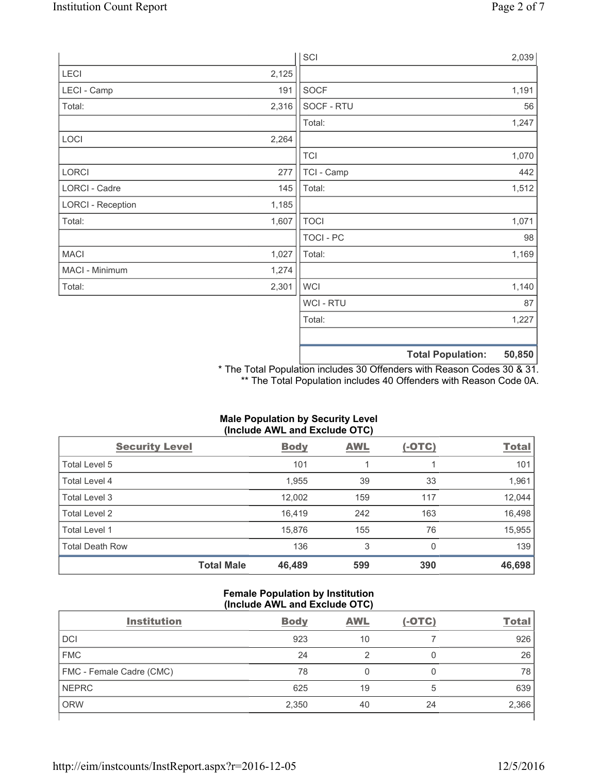|                          |       | SCI              |                                    | 2,039 |
|--------------------------|-------|------------------|------------------------------------|-------|
| LECI                     | 2,125 |                  |                                    |       |
| LECI - Camp              | 191   | SOCF             |                                    | 1,191 |
| Total:                   | 2,316 | SOCF - RTU       |                                    | 56    |
|                          |       | Total:           |                                    | 1,247 |
| LOCI                     | 2,264 |                  |                                    |       |
|                          |       | <b>TCI</b>       |                                    | 1,070 |
| LORCI                    | 277   | TCI - Camp       |                                    | 442   |
| LORCI - Cadre            | 145   | Total:           |                                    | 1,512 |
| <b>LORCI - Reception</b> | 1,185 |                  |                                    |       |
| Total:                   | 1,607 | <b>TOCI</b>      |                                    | 1,071 |
|                          |       | <b>TOCI - PC</b> |                                    | 98    |
| <b>MACI</b>              | 1,027 | Total:           |                                    | 1,169 |
| MACI - Minimum           | 1,274 |                  |                                    |       |
| Total:                   | 2,301 | <b>WCI</b>       |                                    | 1,140 |
|                          |       | <b>WCI-RTU</b>   |                                    | 87    |
|                          |       | Total:           |                                    | 1,227 |
|                          |       |                  |                                    |       |
|                          |       |                  | 50,850<br><b>Total Population:</b> |       |

\* The Total Population includes 30 Offenders with Reason Codes 30 & 31. \*\* The Total Population includes 40 Offenders with Reason Code 0A.

# **Male Population by Security Level (Include AWL and Exclude OTC)**  Security Level **Body** AWL (-OTC) Total

|                        | <b>Total Male</b> | 46,489 | 599 | 390 | 46,698 |
|------------------------|-------------------|--------|-----|-----|--------|
| <b>Total Death Row</b> |                   | 136    | 3   | 0   | 139    |
| Total Level 1          |                   | 15.876 | 155 | 76  | 15,955 |
| Total Level 2          |                   | 16.419 | 242 | 163 | 16,498 |
| Total Level 3          |                   | 12,002 | 159 | 117 | 12,044 |
| Total Level 4          |                   | 1,955  | 39  | 33  | 1,961  |
| Total Level 5          |                   | 101    |     |     | 101    |

### **Female Population by Institution (Include AWL and Exclude OTC)**

| <b>Institution</b>       | <b>Body</b> | <b>AWL</b> | $(-OTC)$ | <b>Total</b> |
|--------------------------|-------------|------------|----------|--------------|
| <b>DCI</b>               | 923         | 10         |          | 926          |
| <b>FMC</b>               | 24          |            | 0        | 26           |
| FMC - Female Cadre (CMC) | 78          | 0          | 0        | 78           |
| <b>NEPRC</b>             | 625         | 19         | 5        | 639          |
| <b>ORW</b>               | 2,350       | 40         | 24       | 2,366        |
|                          |             |            |          |              |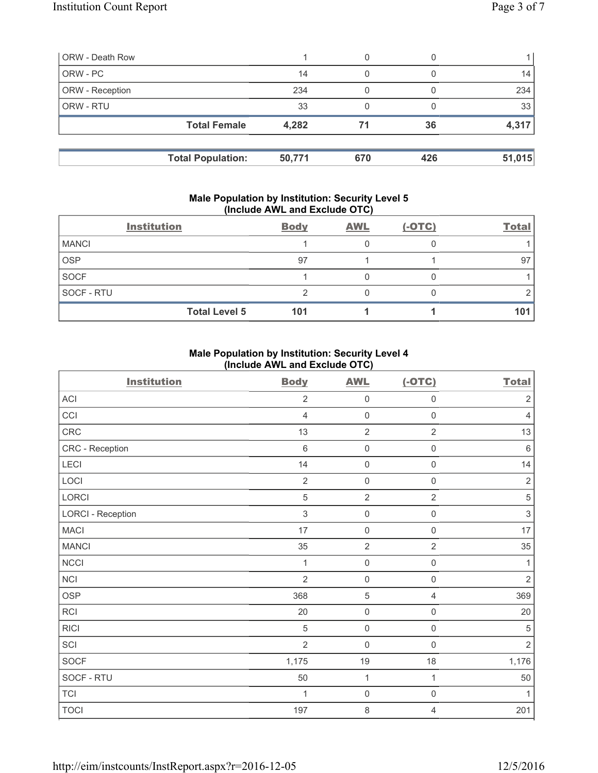| <b>ORW</b> - Death Row |                          |        |     |     |        |
|------------------------|--------------------------|--------|-----|-----|--------|
| ORW - PC               |                          | 14     | 0   |     | 14     |
| ORW - Reception        |                          | 234    |     |     | 234    |
| ORW - RTU              |                          | 33     |     |     | 33     |
|                        | <b>Total Female</b>      | 4,282  | 71  | 36  | 4,317  |
|                        | <b>Total Population:</b> | 50,771 | 670 | 426 | 51,015 |

#### **Male Population by Institution: Security Level 5 (Include AWL and Exclude OTC)**

|                   | <b>Institution</b>   | <b>Body</b> | <b>AWL</b> | $(-OTC)$ | <b>Total</b> |
|-------------------|----------------------|-------------|------------|----------|--------------|
| <b>MANCI</b>      |                      |             |            |          |              |
| <b>OSP</b>        |                      | 97          |            |          | 97           |
| <b>SOCF</b>       |                      |             |            |          |              |
| <b>SOCF - RTU</b> |                      |             |            |          |              |
|                   | <b>Total Level 5</b> | 101         |            |          | 101          |

#### **Male Population by Institution: Security Level 4 (Include AWL and Exclude OTC)**

| <b>Institution</b>       | <b>Body</b>    | <b>AWL</b>          | $(-OTC)$            | <b>Total</b>   |
|--------------------------|----------------|---------------------|---------------------|----------------|
| ACI                      | $\overline{2}$ | $\mathsf{O}\xspace$ | $\mathsf{O}\xspace$ | $\sqrt{2}$     |
| CCI                      | $\overline{4}$ | $\mathsf{O}\xspace$ | $\mathsf{O}\xspace$ | $\overline{4}$ |
| CRC                      | 13             | $\overline{2}$      | $\overline{2}$      | 13             |
| CRC - Reception          | $\,6\,$        | $\mathsf{O}\xspace$ | $\mathsf{O}\xspace$ | $\,6\,$        |
| LECI                     | 14             | $\mathbf 0$         | $\mathsf{O}\xspace$ | 14             |
| LOCI                     | $\sqrt{2}$     | $\mathsf{O}\xspace$ | $\mathsf{O}\xspace$ | $\sqrt{2}$     |
| LORCI                    | $\sqrt{5}$     | $\overline{2}$      | $\overline{2}$      | $\sqrt{5}$     |
| <b>LORCI - Reception</b> | $\mathfrak{Z}$ | $\mathsf{O}\xspace$ | $\mathsf{O}\xspace$ | $\sqrt{3}$     |
| <b>MACI</b>              | 17             | $\mathsf{O}\xspace$ | $\mathsf{O}\xspace$ | $17\,$         |
| <b>MANCI</b>             | 35             | $\sqrt{2}$          | $\overline{2}$      | 35             |
| <b>NCCI</b>              | 1              | $\mathsf{O}\xspace$ | $\mathsf 0$         | 1              |
| NCI                      | $\overline{2}$ | $\mathsf{O}\xspace$ | $\mathsf 0$         | $\sqrt{2}$     |
| <b>OSP</b>               | 368            | $\,$ 5 $\,$         | 4                   | 369            |
| <b>RCI</b>               | 20             | $\mathsf{O}\xspace$ | $\mathsf 0$         | 20             |
| <b>RICI</b>              | $\sqrt{5}$     | $\mathsf{O}\xspace$ | $\mathsf{O}\xspace$ | $\sqrt{5}$     |
| SCI                      | $\overline{2}$ | $\mathsf{O}\xspace$ | $\mathsf 0$         | $\sqrt{2}$     |
| SOCF                     | 1,175          | 19                  | 18                  | 1,176          |
| SOCF - RTU               | 50             | $\mathbf{1}$        | 1                   | 50             |
| TCI                      | 1              | $\mathsf{O}\xspace$ | $\mathsf{O}\xspace$ | $\mathbf{1}$   |
| <b>TOCI</b>              | 197            | 8                   | 4                   | 201            |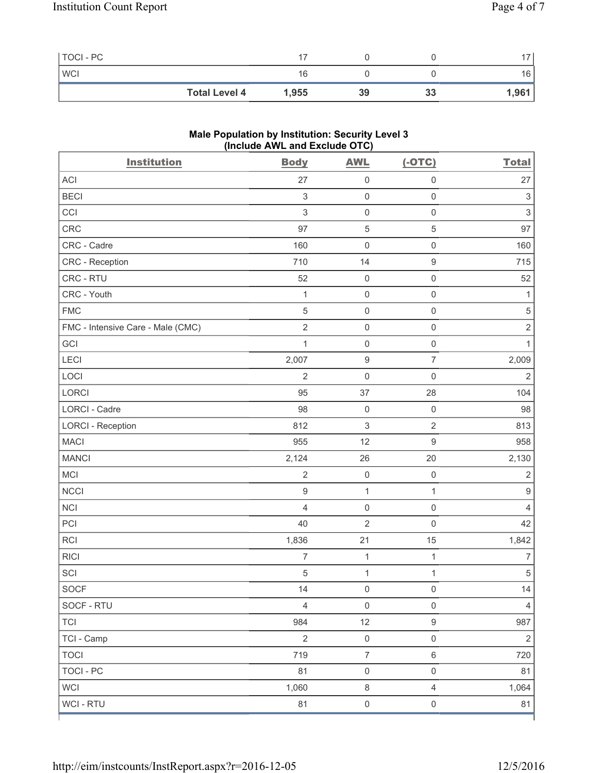| TOCI - PC            |       |    |    | $\rightarrow$ |
|----------------------|-------|----|----|---------------|
| <b>WCI</b>           | 16    |    |    | 16            |
| <b>Total Level 4</b> | 1,955 | 39 | 33 | 1,961         |

## **Male Population by Institution: Security Level 3 (Include AWL and Exclude OTC)**

| <b>Institution</b>                | <b>Body</b>               | <b>AWL</b>                | $(-OTC)$                 | <b>Total</b>              |
|-----------------------------------|---------------------------|---------------------------|--------------------------|---------------------------|
| <b>ACI</b>                        | 27                        | $\mathsf{O}\xspace$       | $\mathsf{O}\xspace$      | 27                        |
| <b>BECI</b>                       | $\ensuremath{\mathsf{3}}$ | $\mathsf{O}\xspace$       | $\mathsf{O}\xspace$      | $\ensuremath{\mathsf{3}}$ |
| CCI                               | 3                         | $\mathsf 0$               | $\mathsf{O}\xspace$      | $\,$ 3 $\,$               |
| CRC                               | 97                        | $\,$ 5 $\,$               | $\,$ 5 $\,$              | 97                        |
| CRC - Cadre                       | 160                       | $\mathsf{O}\xspace$       | $\mathsf{O}\xspace$      | 160                       |
| CRC - Reception                   | 710                       | 14                        | $\boldsymbol{9}$         | 715                       |
| CRC - RTU                         | 52                        | $\mathsf{O}\xspace$       | $\mathsf{O}\xspace$      | 52                        |
| CRC - Youth                       | $\mathbf{1}$              | $\mathsf{O}\xspace$       | $\mathsf{O}\xspace$      | $\mathbf{1}$              |
| <b>FMC</b>                        | 5                         | $\mathsf 0$               | $\mathsf{O}\xspace$      | $\sqrt{5}$                |
| FMC - Intensive Care - Male (CMC) | $\overline{2}$            | $\mathsf{O}\xspace$       | $\mathbf 0$              | $\sqrt{2}$                |
| GCI                               | $\mathbf 1$               | $\mathsf{O}\xspace$       | $\mathsf{O}\xspace$      | $\mathbf{1}$              |
| LECI                              | 2,007                     | $\boldsymbol{9}$          | $\overline{\mathcal{I}}$ | 2,009                     |
| LOCI                              | $\overline{2}$            | $\mathsf{O}\xspace$       | $\mathbf 0$              | $\mathbf 2$               |
| <b>LORCI</b>                      | 95                        | 37                        | 28                       | 104                       |
| LORCI - Cadre                     | 98                        | $\mathsf{O}\xspace$       | $\mathsf 0$              | 98                        |
| <b>LORCI - Reception</b>          | 812                       | $\ensuremath{\mathsf{3}}$ | $\sqrt{2}$               | 813                       |
| <b>MACI</b>                       | 955                       | 12                        | $\boldsymbol{9}$         | 958                       |
| <b>MANCI</b>                      | 2,124                     | 26                        | 20                       | 2,130                     |
| MCI                               | $\overline{2}$            | $\mathsf{O}\xspace$       | $\mathbf 0$              | $\sqrt{2}$                |
| <b>NCCI</b>                       | 9                         | $\mathbf{1}$              | $\mathbf 1$              | $\hbox{9}$                |
| <b>NCI</b>                        | 4                         | $\mathsf 0$               | $\mathsf{O}\xspace$      | $\overline{4}$            |
| PCI                               | 40                        | $\sqrt{2}$                | $\mathsf{O}\xspace$      | 42                        |
| RCI                               | 1,836                     | 21                        | 15                       | 1,842                     |
| <b>RICI</b>                       | $\overline{7}$            | $\mathbf{1}$              | $\mathbf{1}$             | $\overline{7}$            |
| SCI                               | 5                         | $\mathbf 1$               | $\mathbf{1}$             | $\sqrt{5}$                |
| SOCF                              | 14                        | $\mathsf{O}\xspace$       | $\mathsf{O}\xspace$      | 14                        |
| SOCF - RTU                        | $\overline{4}$            | $\mathsf 0$               | $\mathsf{O}\xspace$      | $\overline{4}$            |
| <b>TCI</b>                        | 984                       | 12                        | $\boldsymbol{9}$         | 987                       |
| TCI - Camp                        | $\overline{2}$            | $\mathsf{O}\xspace$       | $\mathsf{O}\xspace$      | $\overline{2}$            |
| <b>TOCI</b>                       | 719                       | $\boldsymbol{7}$          | $\,6\,$                  | 720                       |
| <b>TOCI - PC</b>                  | 81                        | $\mathsf{O}\xspace$       | $\mathsf{O}\xspace$      | 81                        |
| <b>WCI</b>                        | 1,060                     | $\,8\,$                   | $\overline{4}$           | 1,064                     |
| WCI - RTU                         | 81                        | $\mathsf{O}\xspace$       | $\mathsf{O}\xspace$      | 81                        |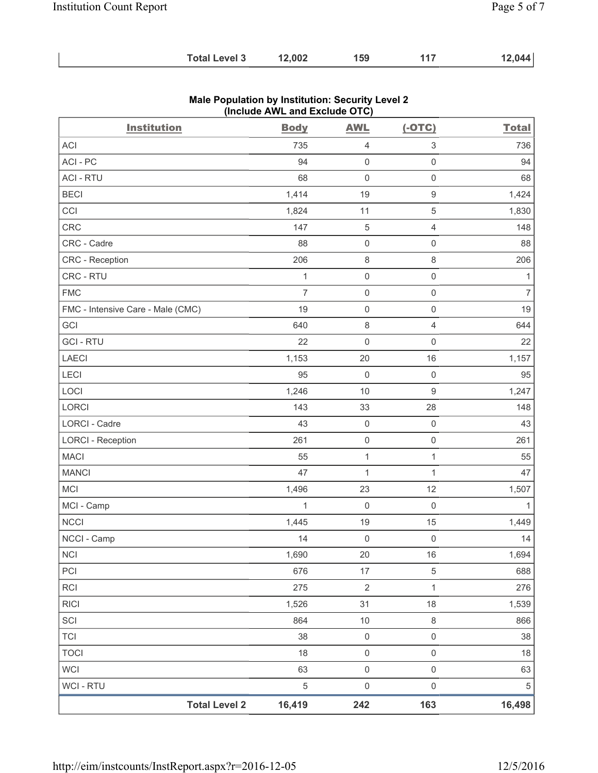| <b>Total Level 3</b> | 12,002 | 159 |  | 12,044 |
|----------------------|--------|-----|--|--------|
|----------------------|--------|-----|--|--------|

| <b>Institution</b>                | $($ nolddo Affe and Exolddo O $\overline{O}$<br><b>Body</b> | <b>AWL</b>          | $(-OTC)$                  | <b>Total</b>   |
|-----------------------------------|-------------------------------------------------------------|---------------------|---------------------------|----------------|
| ACI                               | 735                                                         | 4                   | $\ensuremath{\mathsf{3}}$ | 736            |
| ACI-PC                            | 94                                                          | $\mathsf 0$         | $\mathsf 0$               | 94             |
| <b>ACI - RTU</b>                  | 68                                                          | $\mathbf 0$         | $\mathsf{O}\xspace$       | 68             |
| <b>BECI</b>                       | 1,414                                                       | 19                  | $\mathsf 9$               | 1,424          |
| CCI                               | 1,824                                                       | 11                  | $\sqrt{5}$                | 1,830          |
| CRC                               | 147                                                         | $\sqrt{5}$          | $\overline{4}$            | 148            |
| CRC - Cadre                       | 88                                                          | $\mathsf{O}\xspace$ | $\mathsf 0$               | 88             |
| CRC - Reception                   | 206                                                         | $\,8\,$             | $\,8\,$                   | 206            |
| CRC - RTU                         | $\mathbf{1}$                                                | $\mathsf{O}\xspace$ | $\mathsf 0$               | $\mathbf{1}$   |
| <b>FMC</b>                        | $\overline{7}$                                              | $\mathsf{O}\xspace$ | $\mathsf{O}\xspace$       | $\overline{7}$ |
| FMC - Intensive Care - Male (CMC) | 19                                                          | $\mathsf{O}\xspace$ | $\mathsf 0$               | 19             |
| GCI                               | 640                                                         | $\,8\,$             | $\overline{4}$            | 644            |
| <b>GCI - RTU</b>                  | 22                                                          | $\mathsf{O}\xspace$ | $\mathsf{O}\xspace$       | 22             |
| LAECI                             | 1,153                                                       | 20                  | 16                        | 1,157          |
| LECI                              | 95                                                          | $\mathsf{O}\xspace$ | $\mathbf 0$               | 95             |
| LOCI                              | 1,246                                                       | 10                  | $\mathsf g$               | 1,247          |
| LORCI                             | 143                                                         | 33                  | 28                        | 148            |
| LORCI - Cadre                     | 43                                                          | $\mathsf{O}\xspace$ | $\mathsf{O}\xspace$       | 43             |
| <b>LORCI - Reception</b>          | 261                                                         | $\mathsf{O}\xspace$ | $\mathsf{O}\xspace$       | 261            |
| <b>MACI</b>                       | 55                                                          | $\mathbf{1}$        | $\mathbf{1}$              | 55             |
| <b>MANCI</b>                      | 47                                                          | $\mathbf{1}$        | $\mathbf{1}$              | 47             |
| MCI                               | 1,496                                                       | 23                  | 12                        | 1,507          |
| MCI - Camp                        | $\mathbf{1}$                                                | $\mathbf 0$         | $\mathsf 0$               | $\mathbf{1}$   |
| NCCI                              | 1,445                                                       | 19                  | 15                        | 1,449          |
| NCCI - Camp                       | 14                                                          | $\mathsf{O}\xspace$ | $\mathsf 0$               | 14             |
| <b>NCI</b>                        | 1,690                                                       | 20                  | 16                        | 1,694          |
| PCI                               | 676                                                         | 17                  | $\sqrt{5}$                | 688            |
| <b>RCI</b>                        | 275                                                         | $\overline{2}$      | $\mathbf{1}$              | 276            |
| <b>RICI</b>                       | 1,526                                                       | 31                  | 18                        | 1,539          |
| SCI                               | 864                                                         | $10$                | $\,8\,$                   | 866            |
| <b>TCI</b>                        | 38                                                          | $\mathsf{O}\xspace$ | $\mathsf{O}\xspace$       | 38             |
| <b>TOCI</b>                       | 18                                                          | $\mathsf 0$         | $\mathsf{O}\xspace$       | 18             |
| <b>WCI</b>                        | 63                                                          | $\mathsf 0$         | $\mathsf 0$               | 63             |
| <b>WCI - RTU</b>                  | 5                                                           | $\mathsf 0$         | $\mathsf{O}\xspace$       | $\,$ 5 $\,$    |
| <b>Total Level 2</b>              | 16,419                                                      | 242                 | 163                       | 16,498         |

### **Male Population by Institution: Security Level 2 (Include AWL and Exclude OTC)**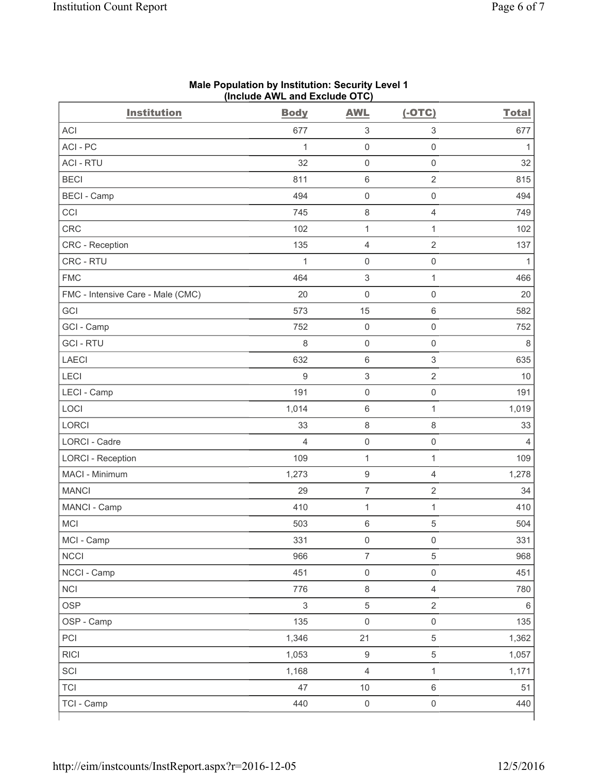| <b>Institution</b>                | <b>Body</b>               | <b>AWL</b>                | $(-OTC)$                  | <b>Total</b> |
|-----------------------------------|---------------------------|---------------------------|---------------------------|--------------|
| <b>ACI</b>                        | 677                       | $\ensuremath{\mathsf{3}}$ | $\ensuremath{\mathsf{3}}$ | 677          |
| ACI-PC                            | $\mathbf 1$               | $\mathsf 0$               | $\mathsf 0$               | $\mathbf{1}$ |
| <b>ACI - RTU</b>                  | 32                        | $\mathsf{O}\xspace$       | $\mathbf 0$               | 32           |
| <b>BECI</b>                       | 811                       | $\,6\,$                   | $\mathbf 2$               | 815          |
| <b>BECI</b> - Camp                | 494                       | $\mathsf 0$               | $\mathsf{O}\xspace$       | 494          |
| CCI                               | 745                       | $\,8\,$                   | $\overline{4}$            | 749          |
| CRC                               | 102                       | $\mathbf 1$               | 1                         | 102          |
| CRC - Reception                   | 135                       | $\overline{4}$            | $\overline{2}$            | 137          |
| CRC - RTU                         | $\mathbf 1$               | $\mathsf{O}\xspace$       | $\mathsf 0$               | $\mathbf{1}$ |
| <b>FMC</b>                        | 464                       | $\mathsf 3$               | $\mathbf{1}$              | 466          |
| FMC - Intensive Care - Male (CMC) | 20                        | $\mathsf{O}\xspace$       | $\mathbf 0$               | 20           |
| GCI                               | 573                       | 15                        | $6\,$                     | 582          |
| GCI - Camp                        | 752                       | $\mathsf{O}\xspace$       | $\mathsf{O}\xspace$       | 752          |
| <b>GCI-RTU</b>                    | 8                         | $\mathsf{O}\xspace$       | $\mathsf 0$               | 8            |
| <b>LAECI</b>                      | 632                       | $\,6\,$                   | $\ensuremath{\mathsf{3}}$ | 635          |
| LECI                              | 9                         | $\ensuremath{\mathsf{3}}$ | $\overline{2}$            | 10           |
| LECI - Camp                       | 191                       | $\mathsf 0$               | $\mathbf 0$               | 191          |
| LOCI                              | 1,014                     | $\,6\,$                   | 1                         | 1,019        |
| LORCI                             | 33                        | $\,8\,$                   | $\,8\,$                   | 33           |
| LORCI - Cadre                     | $\overline{4}$            | $\mathsf{O}\xspace$       | $\mathbf 0$               | 4            |
| <b>LORCI - Reception</b>          | 109                       | $\mathbf{1}$              | $\mathbf{1}$              | 109          |
| MACI - Minimum                    | 1,273                     | $\boldsymbol{9}$          | $\overline{4}$            | 1,278        |
| <b>MANCI</b>                      | 29                        | $\overline{7}$            | $\overline{2}$            | 34           |
| MANCI - Camp                      | 410                       | $\mathbf{1}$              | 1                         | 410          |
| MCI                               | 503                       | $\,6\,$                   | $\,$ 5 $\,$               | 504          |
| MCI - Camp                        | 331                       | $\mathsf 0$               | $\mathsf{O}\xspace$       | 331          |
| <b>NCCI</b>                       | 966                       | $\overline{7}$            | $\sqrt{5}$                | 968          |
| NCCI - Camp                       | 451                       | $\mathsf{O}\xspace$       | $\mathsf 0$               | 451          |
| <b>NCI</b>                        | 776                       | $\,8\,$                   | $\overline{4}$            | 780          |
| <b>OSP</b>                        | $\ensuremath{\mathsf{3}}$ | $\,$ 5 $\,$               | $\sqrt{2}$                | 6            |
| OSP - Camp                        | 135                       | $\mathsf 0$               | $\mathsf 0$               | 135          |
| PCI                               | 1,346                     | 21                        | $\sqrt{5}$                | 1,362        |
| <b>RICI</b>                       | 1,053                     | $\boldsymbol{9}$          | $\sqrt{5}$                | 1,057        |
| SCI                               | 1,168                     | $\overline{4}$            | $\mathbf 1$               | 1,171        |
| <b>TCI</b>                        | 47                        | $10$                      | $\,6\,$                   | 51           |
| TCI - Camp                        | 440                       | $\mathsf{O}\xspace$       | $\mathsf{O}\xspace$       | 440          |

#### **Male Population by Institution: Security Level 1 (Include AWL and Exclude OTC)**